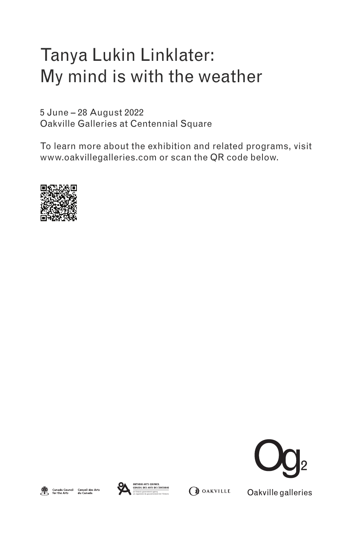## Tanya Lukin Linklater: My mind is with the weather

5 June – 28 August 2022 Oakville Galleries at Centennial Square

To learn more about the exhibition and related programs, visit www.oakvillegalleries.com or scan the QR code below.









**OF OAKVILLE** 

Oakville galleries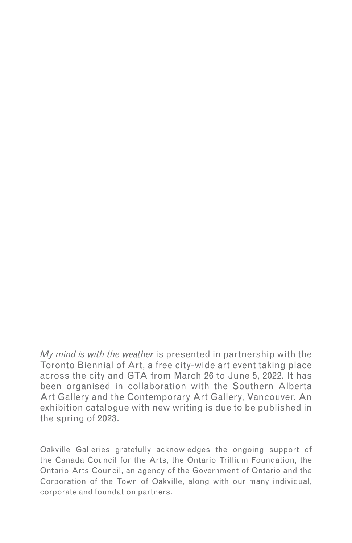*My mind is with the weather* is presented in partnership with the Toronto Biennial of Art, a free city-wide art event taking place across the city and GTA from March 26 to June 5, 2022. It has been organised in collaboration with the Southern Alberta Art Gallery and the Contemporary Art Gallery, Vancouver. An exhibition catalogue with new writing is due to be published in the spring of 2023.

Oakville Galleries gratefully acknowledges the ongoing support of the Canada Council for the Arts, the Ontario Trillium Foundation, the Ontario Arts Council, an agency of the Government of Ontario and the Corporation of the Town of Oakville, along with our many individual, corporate and foundation partners.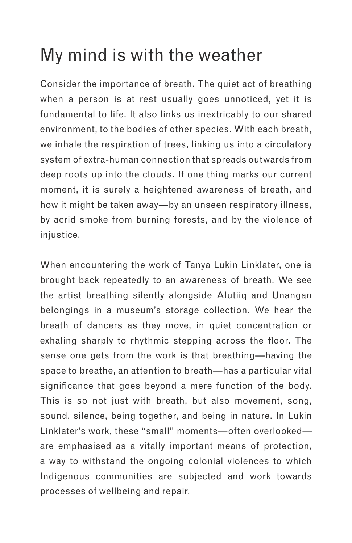## My mind is with the weather

Consider the importance of breath. The quiet act of breathing when a person is at rest usually goes unnoticed, yet it is fundamental to life. It also links us inextricably to our shared environment, to the bodies of other species. With each breath, we inhale the respiration of trees, linking us into a circulatory system of extra-human connection that spreads outwards from deep roots up into the clouds. If one thing marks our current moment, it is surely a heightened awareness of breath, and how it might be taken away—by an unseen respiratory illness, by acrid smoke from burning forests, and by the violence of injustice.

When encountering the work of Tanya Lukin Linklater, one is brought back repeatedly to an awareness of breath. We see the artist breathing silently alongside Alutiiq and Unangan belongings in a museum's storage collection. We hear the breath of dancers as they move, in quiet concentration or exhaling sharply to rhythmic stepping across the floor. The sense one gets from the work is that breathing—having the space to breathe, an attention to breath—has a particular vital significance that goes beyond a mere function of the body. This is so not just with breath, but also movement, song, sound, silence, being together, and being in nature. In Lukin Linklater's work, these "small" moments—often overlooked are emphasised as a vitally important means of protection, a way to withstand the ongoing colonial violences to which Indigenous communities are subjected and work towards processes of wellbeing and repair.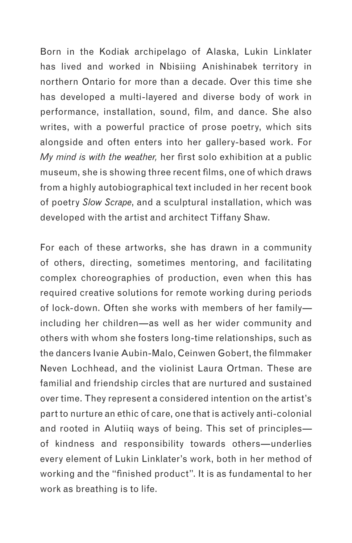Born in the Kodiak archipelago of Alaska, Lukin Linklater has lived and worked in Nbisiing Anishinabek territory in northern Ontario for more than a decade. Over this time she has developed a multi-layered and diverse body of work in performance, installation, sound, film, and dance. She also writes, with a powerful practice of prose poetry, which sits alongside and often enters into her gallery-based work. For *My mind is with the weather,* her first solo exhibition at a public museum, she is showing three recent films, one of which draws from a highly autobiographical text included in her recent book of poetry *Slow Scrape*, and a sculptural installation, which was developed with the artist and architect Tiffany Shaw.

For each of these artworks, she has drawn in a community of others, directing, sometimes mentoring, and facilitating complex choreographies of production, even when this has required creative solutions for remote working during periods of lock-down. Often she works with members of her family including her children—as well as her wider community and others with whom she fosters long-time relationships, such as the dancers Ivanie Aubin-Malo, Ceinwen Gobert, the filmmaker Neven Lochhead, and the violinist Laura Ortman. These are familial and friendship circles that are nurtured and sustained over time. They represent a considered intention on the artist's part to nurture an ethic of care, one that is actively anti-colonial and rooted in Alutiiq ways of being. This set of principles of kindness and responsibility towards others—underlies every element of Lukin Linklater's work, both in her method of working and the "finished product". It is as fundamental to her work as breathing is to life.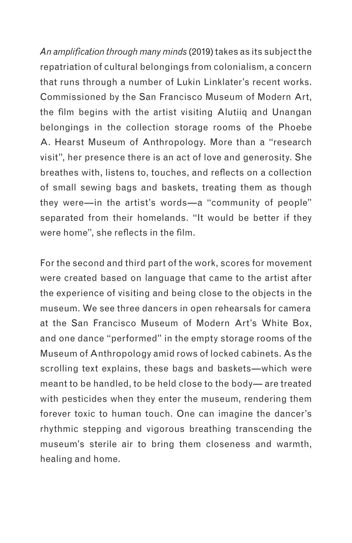*An amplification through many minds* (2019) takes as its subject the repatriation of cultural belongings from colonialism, a concern that runs through a number of Lukin Linklater's recent works. Commissioned by the San Francisco Museum of Modern Art, the film begins with the artist visiting Alutiiq and Unangan belongings in the collection storage rooms of the Phoebe A. Hearst Museum of Anthropology. More than a "research visit", her presence there is an act of love and generosity. She breathes with, listens to, touches, and reflects on a collection of small sewing bags and baskets, treating them as though they were—in the artist's words—a "community of people" separated from their homelands. "It would be better if they were home", she reflects in the film.

For the second and third part of the work, scores for movement were created based on language that came to the artist after the experience of visiting and being close to the objects in the museum. We see three dancers in open rehearsals for camera at the San Francisco Museum of Modern Art's White Box, and one dance "performed" in the empty storage rooms of the Museum of Anthropology amid rows of locked cabinets. As the scrolling text explains, these bags and baskets—which were meant to be handled, to be held close to the body— are treated with pesticides when they enter the museum, rendering them forever toxic to human touch. One can imagine the dancer's rhythmic stepping and vigorous breathing transcending the museum's sterile air to bring them closeness and warmth, healing and home.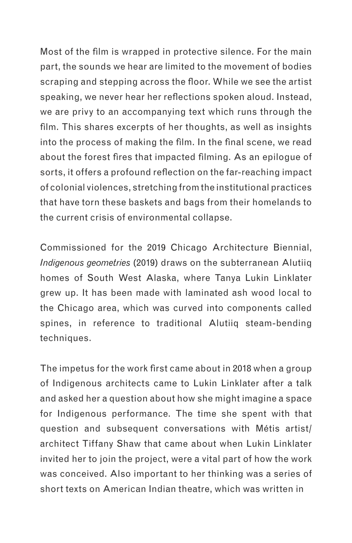Most of the film is wrapped in protective silence. For the main part, the sounds we hear are limited to the movement of bodies scraping and stepping across the floor. While we see the artist speaking, we never hear her reflections spoken aloud. Instead, we are privy to an accompanying text which runs through the film. This shares excerpts of her thoughts, as well as insights into the process of making the film. In the final scene, we read about the forest fires that impacted filming. As an epilogue of sorts, it offers a profound reflection on the far-reaching impact of colonial violences, stretching from the institutional practices that have torn these baskets and bags from their homelands to the current crisis of environmental collapse.

Commissioned for the 2019 Chicago Architecture Biennial, *Indigenous geometries* (2019) draws on the subterranean Alutiiq homes of South West Alaska, where Tanya Lukin Linklater grew up. It has been made with laminated ash wood local to the Chicago area, which was curved into components called spines, in reference to traditional Alutiiq steam-bending techniques.

The impetus for the work first came about in 2018 when a group of Indigenous architects came to Lukin Linklater after a talk and asked her a question about how she might imagine a space for Indigenous performance. The time she spent with that question and subsequent conversations with Métis artist/ architect Tiffany Shaw that came about when Lukin Linklater invited her to join the project, were a vital part of how the work was conceived. Also important to her thinking was a series of short texts on American Indian theatre, which was written in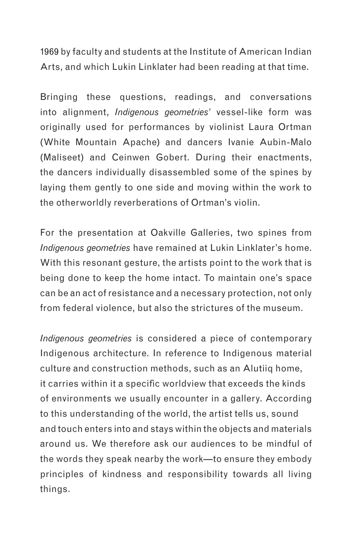1969 by faculty and students at the Institute of American Indian Arts, and which Lukin Linklater had been reading at that time.

Bringing these questions, readings, and conversations into alignment, *Indigenous geometries'* vessel-like form was originally used for performances by violinist Laura Ortman (White Mountain Apache) and dancers Ivanie Aubin-Malo (Maliseet) and Ceinwen Gobert. During their enactments, the dancers individually disassembled some of the spines by laying them gently to one side and moving within the work to the otherworldly reverberations of Ortman's violin.

For the presentation at Oakville Galleries, two spines from *Indigenous geometries* have remained at Lukin Linklater's home. With this resonant gesture, the artists point to the work that is being done to keep the home intact. To maintain one's space can be an act of resistance and a necessary protection, not only from federal violence, but also the strictures of the museum.

*Indigenous geometries* is considered a piece of contemporary Indigenous architecture. In reference to Indigenous material culture and construction methods, such as an Alutiiq home, it carries within it a specific worldview that exceeds the kinds of environments we usually encounter in a gallery. According to this understanding of the world, the artist tells us, sound and touch enters into and stays within the objects and materials around us. We therefore ask our audiences to be mindful of the words they speak nearby the work—to ensure they embody principles of kindness and responsibility towards all living things.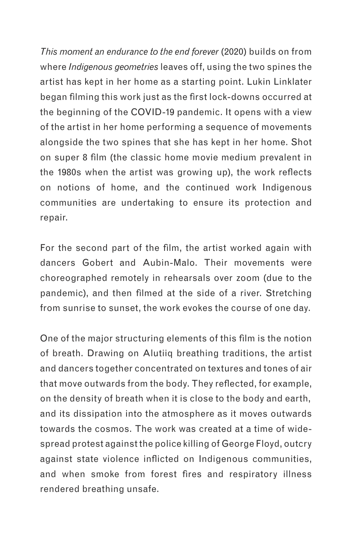*This moment an endurance to the end forever* (2020) builds on from where *Indigenous geometries* leaves off, using the two spines the artist has kept in her home as a starting point. Lukin Linklater began filming this work just as the first lock-downs occurred at the beginning of the COVID-19 pandemic. It opens with a view of the artist in her home performing a sequence of movements alongside the two spines that she has kept in her home. Shot on super 8 film (the classic home movie medium prevalent in the 1980s when the artist was growing up), the work reflects on notions of home, and the continued work Indigenous communities are undertaking to ensure its protection and repair.

For the second part of the film, the artist worked again with dancers Gobert and Aubin-Malo. Their movements were choreographed remotely in rehearsals over zoom (due to the pandemic), and then filmed at the side of a river. Stretching from sunrise to sunset, the work evokes the course of one day.

One of the major structuring elements of this film is the notion of breath. Drawing on Alutiiq breathing traditions, the artist and dancers together concentrated on textures and tones of air that move outwards from the body. They reflected, for example, on the density of breath when it is close to the body and earth, and its dissipation into the atmosphere as it moves outwards towards the cosmos. The work was created at a time of widespread protest against the police killing of George Floyd, outcry against state violence inflicted on Indigenous communities, and when smoke from forest fires and respiratory illness rendered breathing unsafe.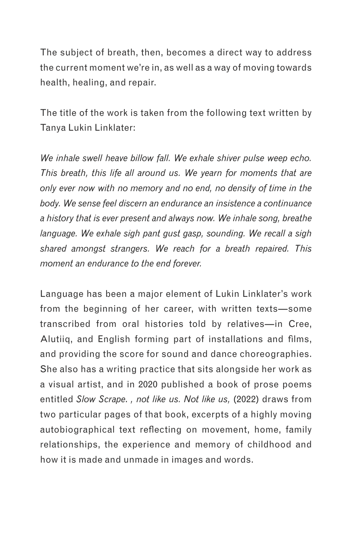The subject of breath, then, becomes a direct way to address the current moment we're in, as well as a way of moving towards health, healing, and repair.

The title of the work is taken from the following text written by Tanya Lukin Linklater:

*We inhale swell heave billow fall. We exhale shiver pulse weep echo. This breath, this life all around us. We yearn for moments that are only ever now with no memory and no end, no density of time in the body. We sense feel discern an endurance an insistence a continuance a history that is ever present and always now. We inhale song, breathe language. We exhale sigh pant gust gasp, sounding. We recall a sigh shared amongst strangers. We reach for a breath repaired. This moment an endurance to the end forever.*

Language has been a major element of Lukin Linklater's work from the beginning of her career, with written texts—some transcribed from oral histories told by relatives—in Cree, Alutiiq, and English forming part of installations and films, and providing the score for sound and dance choreographies. She also has a writing practice that sits alongside her work as a visual artist, and in 2020 published a book of prose poems entitled *Slow Scrape*. *, not like us. Not like us,* (2022) draws from two particular pages of that book, excerpts of a highly moving autobiographical text reflecting on movement, home, family relationships, the experience and memory of childhood and how it is made and unmade in images and words.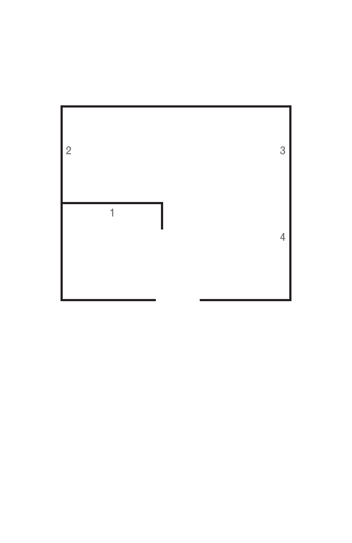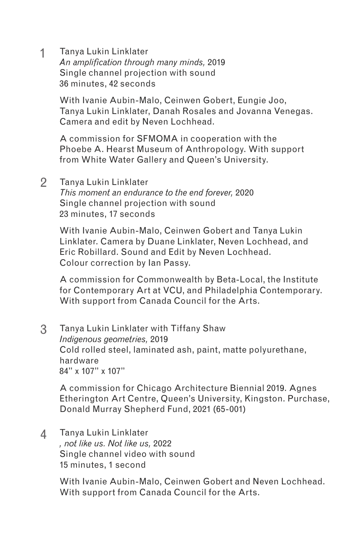1 Tanya Lukin Linklater *An amplification through many minds,* 2019 Single channel projection with sound 36 minutes, 42 seconds

> With Ivanie Aubin-Malo, Ceinwen Gobert, Eungie Joo, Tanya Lukin Linklater, Danah Rosales and Jovanna Venegas. Camera and edit by Neven Lochhead.

A commission for SFMOMA in cooperation with the Phoebe A. Hearst Museum of Anthropology. With support from White Water Gallery and Queen's University.

2 Tanya Lukin Linklater

*This moment an endurance to the end forever,* 2020 Single channel projection with sound 23 minutes, 17 seconds

With Ivanie Aubin-Malo, Ceinwen Gobert and Tanya Lukin Linklater. Camera by Duane Linklater, Neven Lochhead, and Eric Robillard. Sound and Edit by Neven Lochhead. Colour correction by Ian Passy.

A commission for Commonwealth by Beta-Local, the Institute for Contemporary Art at VCU, and Philadelphia Contemporary. With support from Canada Council for the Arts.

3 Tanya Lukin Linklater with Tiffany Shaw *Indigenous geometries,* 2019 Cold rolled steel, laminated ash, paint, matte polyurethane, hardware 84" x 107" x 107"

A commission for Chicago Architecture Biennial 2019. Agnes Etherington Art Centre, Queen's University, Kingston. Purchase, Donald Murray Shepherd Fund, 2021 (65-001)

Tanya Lukin Linklater *, not like us. Not like us,* 2022 Single channel video with sound 15 minutes, 1 second 4

> With Ivanie Aubin-Malo, Ceinwen Gobert and Neven Lochhead. With support from Canada Council for the Arts.